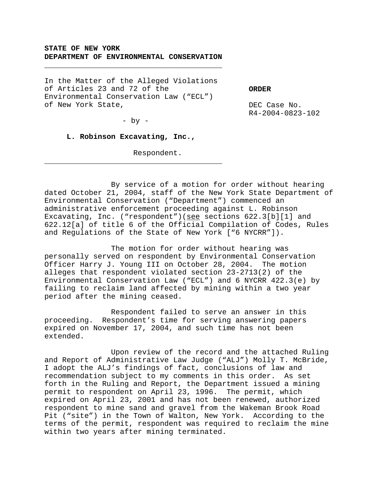# **STATE OF NEW YORK DEPARTMENT OF ENVIRONMENTAL CONSERVATION**

\_\_\_\_\_\_\_\_\_\_\_\_\_\_\_\_\_\_\_\_\_\_\_\_\_\_\_\_\_\_\_\_\_\_\_\_\_\_\_\_

In the Matter of the Alleged Violations of Articles 23 and 72 of the Environmental Conservation Law ("ECL") of New York State,

**ORDER**

DEC Case No. R4-2004-0823-102

 $-$  by  $-$ 

## **L. Robinson Excavating, Inc.,**

\_\_\_\_\_\_\_\_\_\_\_\_\_\_\_\_\_\_\_\_\_\_\_\_\_\_\_\_\_\_\_\_\_\_\_\_\_\_\_\_

Respondent.

By service of a motion for order without hearing dated October 21, 2004, staff of the New York State Department of Environmental Conservation ("Department") commenced an administrative enforcement proceeding against L. Robinson Excavating, Inc. ("respondent")(see sections 622.3[b][1] and 622.12[a] of title 6 of the Official Compilation of Codes, Rules and Regulations of the State of New York ["6 NYCRR"]).

The motion for order without hearing was personally served on respondent by Environmental Conservation Officer Harry J. Young III on October 28, 2004. The motion alleges that respondent violated section 23-2713(2) of the Environmental Conservation Law ("ECL") and 6 NYCRR 422.3(e) by failing to reclaim land affected by mining within a two year period after the mining ceased.

Respondent failed to serve an answer in this proceeding. Respondent's time for serving answering papers expired on November 17, 2004, and such time has not been extended.

Upon review of the record and the attached Ruling and Report of Administrative Law Judge ("ALJ") Molly T. McBride, I adopt the ALJ's findings of fact, conclusions of law and recommendation subject to my comments in this order. As set forth in the Ruling and Report, the Department issued a mining permit to respondent on April 23, 1996. The permit, which expired on April 23, 2001 and has not been renewed, authorized respondent to mine sand and gravel from the Wakeman Brook Road Pit ("site") in the Town of Walton, New York. According to the terms of the permit, respondent was required to reclaim the mine within two years after mining terminated.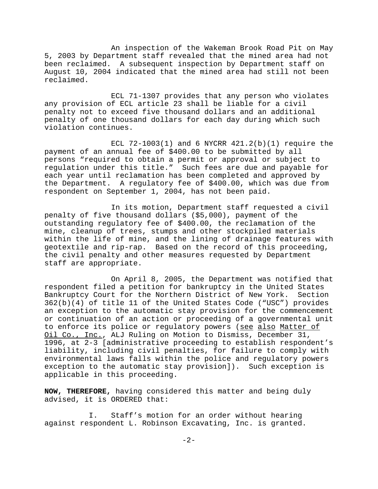An inspection of the Wakeman Brook Road Pit on May 5, 2003 by Department staff revealed that the mined area had not been reclaimed. A subsequent inspection by Department staff on August 10, 2004 indicated that the mined area had still not been reclaimed.

ECL 71-1307 provides that any person who violates any provision of ECL article 23 shall be liable for a civil penalty not to exceed five thousand dollars and an additional penalty of one thousand dollars for each day during which such violation continues.

ECL  $72-1003(1)$  and 6 NYCRR  $421.2(b)(1)$  require the payment of an annual fee of \$400.00 to be submitted by all persons "required to obtain a permit or approval or subject to regulation under this title." Such fees are due and payable for each year until reclamation has been completed and approved by the Department. A regulatory fee of \$400.00, which was due from respondent on September 1, 2004, has not been paid.

In its motion, Department staff requested a civil penalty of five thousand dollars (\$5,000), payment of the outstanding regulatory fee of \$400.00, the reclamation of the mine, cleanup of trees, stumps and other stockpiled materials within the life of mine, and the lining of drainage features with geotextile and rip-rap. Based on the record of this proceeding, the civil penalty and other measures requested by Department staff are appropriate.

On April 8, 2005, the Department was notified that respondent filed a petition for bankruptcy in the United States Bankruptcy Court for the Northern District of New York. Section 362(b)(4) of title 11 of the United States Code ("USC") provides an exception to the automatic stay provision for the commencement or continuation of an action or proceeding of a governmental unit to enforce its police or regulatory powers (see also Matter of Oil Co., Inc., ALJ Ruling on Motion to Dismiss, December 31, 1996, at 2-3 [administrative proceeding to establish respondent's liability, including civil penalties, for failure to comply with environmental laws falls within the police and regulatory powers exception to the automatic stay provision]). Such exception is applicable in this proceeding.

**NOW, THEREFORE,** having considered this matter and being duly advised, it is ORDERED that:

I. Staff's motion for an order without hearing against respondent L. Robinson Excavating, Inc. is granted.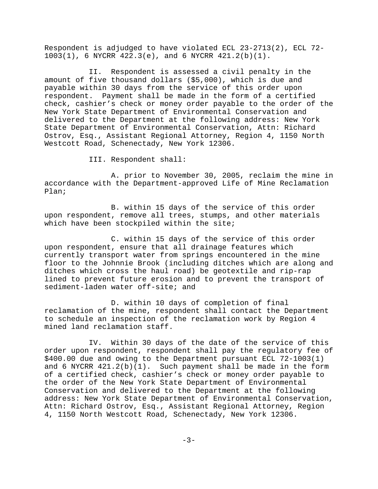Respondent is adjudged to have violated ECL 23-2713(2), ECL 72- 1003(1), 6 NYCRR 422.3(e), and 6 NYCRR 421.2(b)(1).

II. Respondent is assessed a civil penalty in the amount of five thousand dollars (\$5,000), which is due and payable within 30 days from the service of this order upon respondent. Payment shall be made in the form of a certified check, cashier's check or money order payable to the order of the New York State Department of Environmental Conservation and delivered to the Department at the following address: New York State Department of Environmental Conservation, Attn: Richard Ostrov, Esq., Assistant Regional Attorney, Region 4, 1150 North Westcott Road, Schenectady, New York 12306.

III. Respondent shall:

A. prior to November 30, 2005, reclaim the mine in accordance with the Department-approved Life of Mine Reclamation Plan;

B. within 15 days of the service of this order upon respondent, remove all trees, stumps, and other materials which have been stockpiled within the site;

C. within 15 days of the service of this order upon respondent, ensure that all drainage features which currently transport water from springs encountered in the mine floor to the Johnnie Brook (including ditches which are along and ditches which cross the haul road) be geotextile and rip-rap lined to prevent future erosion and to prevent the transport of sediment-laden water off-site; and

D. within 10 days of completion of final reclamation of the mine, respondent shall contact the Department to schedule an inspection of the reclamation work by Region 4 mined land reclamation staff.

IV. Within 30 days of the date of the service of this order upon respondent, respondent shall pay the regulatory fee of \$400.00 due and owing to the Department pursuant ECL 72-1003(1) and 6 NYCRR  $421.2(b)(1)$ . Such payment shall be made in the form of a certified check, cashier's check or money order payable to the order of the New York State Department of Environmental Conservation and delivered to the Department at the following address: New York State Department of Environmental Conservation, Attn: Richard Ostrov, Esq., Assistant Regional Attorney, Region 4, 1150 North Westcott Road, Schenectady, New York 12306.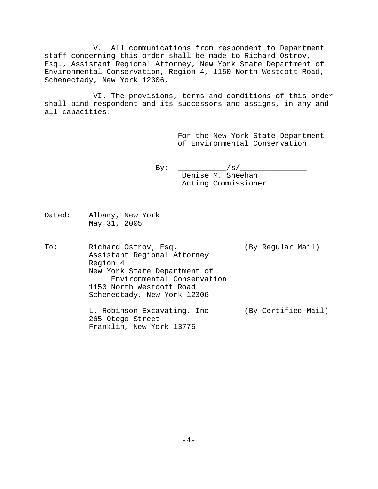V. All communications from respondent to Department staff concerning this order shall be made to Richard Ostrov, Esq., Assistant Regional Attorney, New York State Department of Environmental Conservation, Region 4, 1150 North Westcott Road, Schenectady, New York 12306.

 VI. The provisions, terms and conditions of this order shall bind respondent and its successors and assigns, in any and all capacities.

> For the New York State Department of Environmental Conservation

By: \_\_\_\_\_\_\_\_\_\_\_/s/\_\_\_\_\_\_\_\_\_\_\_\_\_\_\_ Denise M. Sheehan Acting Commissioner

Dated: Albany, New York May 31, 2005

To: Richard Ostrov, Esq. (By Regular Mail) Assistant Regional Attorney Region 4 New York State Department of Environmental Conservation 1150 North Westcott Road Schenectady, New York 12306 L. Robinson Excavating, Inc. (By Certified Mail) 265 Otego Street

Franklin, New York 13775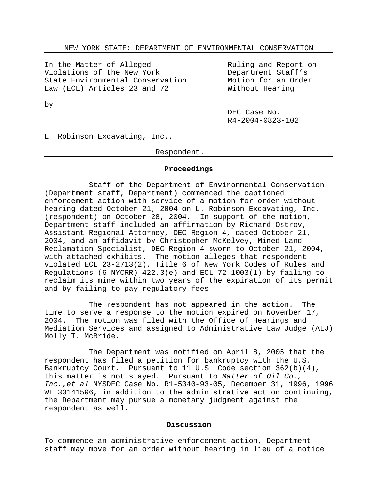In the Matter of Alleged Violations of the New York State Environmental Conservation Law (ECL) Articles 23 and 72

Ruling and Report on Department Staff's Motion for an Order Without Hearing

by

DEC Case No. R4-2004-0823-102

L. Robinson Excavating, Inc.,

## Respondent.

### **Proceedings**

Staff of the Department of Environmental Conservation (Department staff, Department) commenced the captioned enforcement action with service of a motion for order without hearing dated October 21, 2004 on L. Robinson Excavating, Inc. (respondent) on October 28, 2004. In support of the motion, Department staff included an affirmation by Richard Ostrov, Assistant Regional Attorney, DEC Region 4, dated October 21, 2004, and an affidavit by Christopher McKelvey, Mined Land Reclamation Specialist, DEC Region 4 sworn to October 21, 2004, with attached exhibits. The motion alleges that respondent violated ECL 23-2713(2), Title 6 of New York Codes of Rules and Regulations (6 NYCRR)  $422.3(e)$  and ECL  $72-1003(1)$  by failing to reclaim its mine within two years of the expiration of its permit and by failing to pay regulatory fees.

The respondent has not appeared in the action. The time to serve a response to the motion expired on November 17, 2004. The motion was filed with the Office of Hearings and Mediation Services and assigned to Administrative Law Judge (ALJ) Molly T. McBride.

The Department was notified on April 8, 2005 that the respondent has filed a petition for bankruptcy with the U.S. Bankruptcy Court. Pursuant to 11 U.S. Code section 362(b)(4), this matter is not stayed. Pursuant to *Matter of Oil Co., Inc.,et al* NYSDEC Case No. R1-5340-93-05, December 31, 1996, 1996 WL 33141596, in addition to the administrative action continuing, the Department may pursue a monetary judgment against the respondent as well.

# **Discussion**

To commence an administrative enforcement action, Department staff may move for an order without hearing in lieu of a notice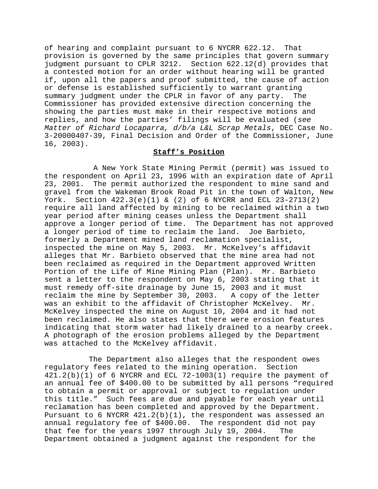of hearing and complaint pursuant to 6 NYCRR 622.12. That provision is governed by the same principles that govern summary judgment pursuant to CPLR 3212. Section 622.12(d) provides that a contested motion for an order without hearing will be granted if, upon all the papers and proof submitted, the cause of action or defense is established sufficiently to warrant granting summary judgment under the CPLR in favor of any party. The Commissioner has provided extensive direction concerning the showing the parties must make in their respective motions and replies, and how the parties' filings will be evaluated (*see Matter of Richard Locaparra, d/b/a L&L Scrap Metals*, DEC Case No. 3-20000407-39, Final Decision and Order of the Commissioner, June 16, 2003).

## **Staff's Position**

 A New York State Mining Permit (permit) was issued to the respondent on April 23, 1996 with an expiration date of April 23, 2001. The permit authorized the respondent to mine sand and gravel from the Wakeman Brook Road Pit in the town of Walton, New York. Section  $422.3(e)(1)$  & (2) of 6 NYCRR and ECL  $23-2713(2)$ require all land affected by mining to be reclaimed within a two year period after mining ceases unless the Department shall approve a longer period of time. The Department has not approved a longer period of time to reclaim the land. Joe Barbieto, formerly a Department mined land reclamation specialist, inspected the mine on May 5, 2003. Mr. McKelvey's affidavit alleges that Mr. Barbieto observed that the mine area had not been reclaimed as required in the Department approved Written Portion of the Life of Mine Mining Plan (Plan). Mr. Barbieto sent a letter to the respondent on May 6, 2003 stating that it must remedy off-site drainage by June 15, 2003 and it must reclaim the mine by September 30, 2003. A copy of the letter was an exhibit to the affidavit of Christopher McKelvey. Mr. McKelvey inspected the mine on August 10, 2004 and it had not been reclaimed. He also states that there were erosion features indicating that storm water had likely drained to a nearby creek. A photograph of the erosion problems alleged by the Department was attached to the McKelvey affidavit.

The Department also alleges that the respondent owes regulatory fees related to the mining operation. Section  $421.2(b)(1)$  of 6 NYCRR and ECL 72-1003(1) require the payment of an annual fee of \$400.00 to be submitted by all persons "required to obtain a permit or approval or subject to regulation under this title." Such fees are due and payable for each year until reclamation has been completed and approved by the Department. Pursuant to 6 NYCRR  $421.2(b)(1)$ , the respondent was assessed an annual regulatory fee of \$400.00. The respondent did not pay that fee for the years 1997 through July 19, 2004. The Department obtained a judgment against the respondent for the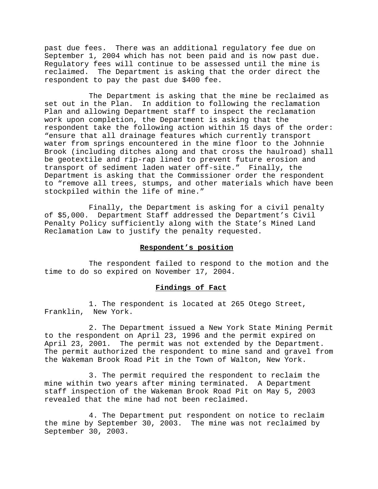past due fees. There was an additional regulatory fee due on September 1, 2004 which has not been paid and is now past due. Regulatory fees will continue to be assessed until the mine is reclaimed. The Department is asking that the order direct the respondent to pay the past due \$400 fee.

The Department is asking that the mine be reclaimed as set out in the Plan. In addition to following the reclamation Plan and allowing Department staff to inspect the reclamation work upon completion, the Department is asking that the respondent take the following action within 15 days of the order: "ensure that all drainage features which currently transport water from springs encountered in the mine floor to the Johnnie Brook (including ditches along and that cross the haulroad) shall be geotextile and rip-rap lined to prevent future erosion and transport of sediment laden water off-site." Finally, the Department is asking that the Commissioner order the respondent to "remove all trees, stumps, and other materials which have been stockpiled within the life of mine."

Finally, the Department is asking for a civil penalty of \$5,000. Department Staff addressed the Department's Civil Penalty Policy sufficiently along with the State's Mined Land Reclamation Law to justify the penalty requested.

## **Respondent's position**

The respondent failed to respond to the motion and the time to do so expired on November 17, 2004.

#### **Findings of Fact**

1. The respondent is located at 265 Otego Street, Franklin, New York.

2. The Department issued a New York State Mining Permit to the respondent on April 23, 1996 and the permit expired on April 23, 2001. The permit was not extended by the Department. The permit authorized the respondent to mine sand and gravel from the Wakeman Brook Road Pit in the Town of Walton, New York.

3. The permit required the respondent to reclaim the mine within two years after mining terminated. A Department staff inspection of the Wakeman Brook Road Pit on May 5, 2003 revealed that the mine had not been reclaimed.

4. The Department put respondent on notice to reclaim the mine by September 30, 2003. The mine was not reclaimed by September 30, 2003.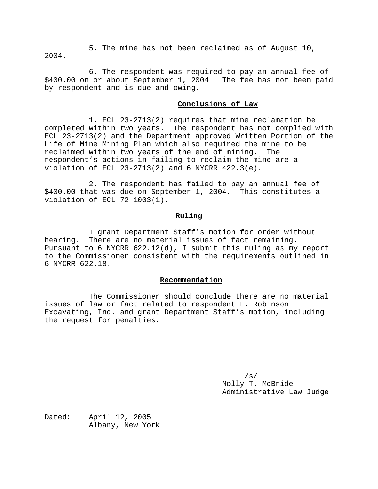5. The mine has not been reclaimed as of August 10, 2004.

6. The respondent was required to pay an annual fee of \$400.00 on or about September 1, 2004. The fee has not been paid by respondent and is due and owing.

#### **Conclusions of Law**

1. ECL 23-2713(2) requires that mine reclamation be completed within two years. The respondent has not complied with ECL 23-2713(2) and the Department approved Written Portion of the Life of Mine Mining Plan which also required the mine to be reclaimed within two years of the end of mining. The respondent's actions in failing to reclaim the mine are a violation of ECL 23-2713(2) and 6 NYCRR 422.3(e).

2. The respondent has failed to pay an annual fee of \$400.00 that was due on September 1, 2004. This constitutes a violation of ECL 72-1003(1).

#### **Ruling**

I grant Department Staff's motion for order without hearing. There are no material issues of fact remaining. Pursuant to 6 NYCRR 622.12(d), I submit this ruling as my report to the Commissioner consistent with the requirements outlined in 6 NYCRR 622.18.

#### **Recommendation**

The Commissioner should conclude there are no material issues of law or fact related to respondent L. Robinson Excavating, Inc. and grant Department Staff's motion, including the request for penalties.

> /s/ Molly T. McBride Administrative Law Judge

Dated: April 12, 2005 Albany, New York